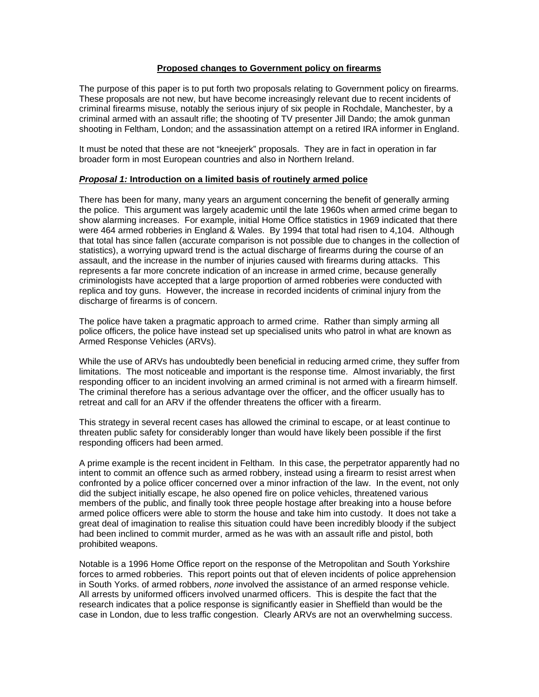## **Proposed changes to Government policy on firearms**

The purpose of this paper is to put forth two proposals relating to Government policy on firearms. These proposals are not new, but have become increasingly relevant due to recent incidents of criminal firearms misuse, notably the serious injury of six people in Rochdale, Manchester, by a criminal armed with an assault rifle; the shooting of TV presenter Jill Dando; the amok gunman shooting in Feltham, London; and the assassination attempt on a retired IRA informer in England.

It must be noted that these are not "kneejerk" proposals. They are in fact in operation in far broader form in most European countries and also in Northern Ireland.

## *Proposal 1:* **Introduction on a limited basis of routinely armed police**

There has been for many, many years an argument concerning the benefit of generally arming the police. This argument was largely academic until the late 1960s when armed crime began to show alarming increases. For example, initial Home Office statistics in 1969 indicated that there were 464 armed robberies in England & Wales. By 1994 that total had risen to 4,104. Although that total has since fallen (accurate comparison is not possible due to changes in the collection of statistics), a worrying upward trend is the actual discharge of firearms during the course of an assault, and the increase in the number of injuries caused with firearms during attacks. This represents a far more concrete indication of an increase in armed crime, because generally criminologists have accepted that a large proportion of armed robberies were conducted with replica and toy guns. However, the increase in recorded incidents of criminal injury from the discharge of firearms is of concern.

The police have taken a pragmatic approach to armed crime. Rather than simply arming all police officers, the police have instead set up specialised units who patrol in what are known as Armed Response Vehicles (ARVs).

While the use of ARVs has undoubtedly been beneficial in reducing armed crime, they suffer from limitations. The most noticeable and important is the response time. Almost invariably, the first responding officer to an incident involving an armed criminal is not armed with a firearm himself. The criminal therefore has a serious advantage over the officer, and the officer usually has to retreat and call for an ARV if the offender threatens the officer with a firearm.

This strategy in several recent cases has allowed the criminal to escape, or at least continue to threaten public safety for considerably longer than would have likely been possible if the first responding officers had been armed.

A prime example is the recent incident in Feltham. In this case, the perpetrator apparently had no intent to commit an offence such as armed robbery, instead using a firearm to resist arrest when confronted by a police officer concerned over a minor infraction of the law. In the event, not only did the subject initially escape, he also opened fire on police vehicles, threatened various members of the public, and finally took three people hostage after breaking into a house before armed police officers were able to storm the house and take him into custody. It does not take a great deal of imagination to realise this situation could have been incredibly bloody if the subject had been inclined to commit murder, armed as he was with an assault rifle and pistol, both prohibited weapons.

Notable is a 1996 Home Office report on the response of the Metropolitan and South Yorkshire forces to armed robberies. This report points out that of eleven incidents of police apprehension in South Yorks. of armed robbers, *none* involved the assistance of an armed response vehicle. All arrests by uniformed officers involved unarmed officers. This is despite the fact that the research indicates that a police response is significantly easier in Sheffield than would be the case in London, due to less traffic congestion. Clearly ARVs are not an overwhelming success.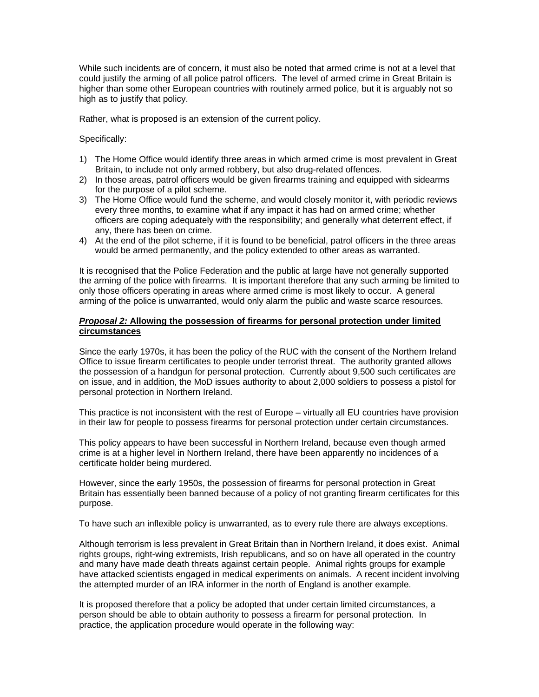While such incidents are of concern, it must also be noted that armed crime is not at a level that could justify the arming of all police patrol officers. The level of armed crime in Great Britain is higher than some other European countries with routinely armed police, but it is arguably not so high as to justify that policy.

Rather, what is proposed is an extension of the current policy.

Specifically:

- 1) The Home Office would identify three areas in which armed crime is most prevalent in Great Britain, to include not only armed robbery, but also drug-related offences.
- 2) In those areas, patrol officers would be given firearms training and equipped with sidearms for the purpose of a pilot scheme.
- 3) The Home Office would fund the scheme, and would closely monitor it, with periodic reviews every three months, to examine what if any impact it has had on armed crime; whether officers are coping adequately with the responsibility; and generally what deterrent effect, if any, there has been on crime.
- 4) At the end of the pilot scheme, if it is found to be beneficial, patrol officers in the three areas would be armed permanently, and the policy extended to other areas as warranted.

It is recognised that the Police Federation and the public at large have not generally supported the arming of the police with firearms. It is important therefore that any such arming be limited to only those officers operating in areas where armed crime is most likely to occur. A general arming of the police is unwarranted, would only alarm the public and waste scarce resources.

## *Proposal 2:* **Allowing the possession of firearms for personal protection under limited circumstances**

Since the early 1970s, it has been the policy of the RUC with the consent of the Northern Ireland Office to issue firearm certificates to people under terrorist threat. The authority granted allows the possession of a handgun for personal protection. Currently about 9,500 such certificates are on issue, and in addition, the MoD issues authority to about 2,000 soldiers to possess a pistol for personal protection in Northern Ireland.

This practice is not inconsistent with the rest of Europe – virtually all EU countries have provision in their law for people to possess firearms for personal protection under certain circumstances.

This policy appears to have been successful in Northern Ireland, because even though armed crime is at a higher level in Northern Ireland, there have been apparently no incidences of a certificate holder being murdered.

However, since the early 1950s, the possession of firearms for personal protection in Great Britain has essentially been banned because of a policy of not granting firearm certificates for this purpose.

To have such an inflexible policy is unwarranted, as to every rule there are always exceptions.

Although terrorism is less prevalent in Great Britain than in Northern Ireland, it does exist. Animal rights groups, right-wing extremists, Irish republicans, and so on have all operated in the country and many have made death threats against certain people. Animal rights groups for example have attacked scientists engaged in medical experiments on animals. A recent incident involving the attempted murder of an IRA informer in the north of England is another example.

It is proposed therefore that a policy be adopted that under certain limited circumstances, a person should be able to obtain authority to possess a firearm for personal protection. In practice, the application procedure would operate in the following way: